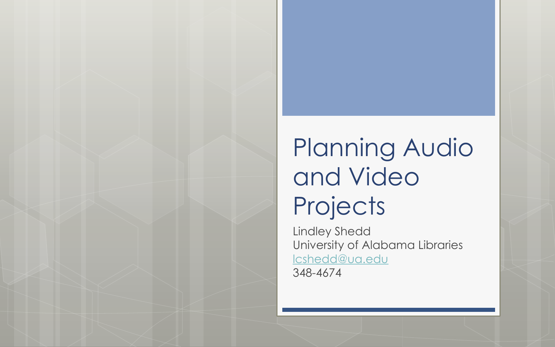#### Planning Audio and Video **Projects**

Lindley Shedd University of Alabama Libraries lcshedd@ua.edu 348-4674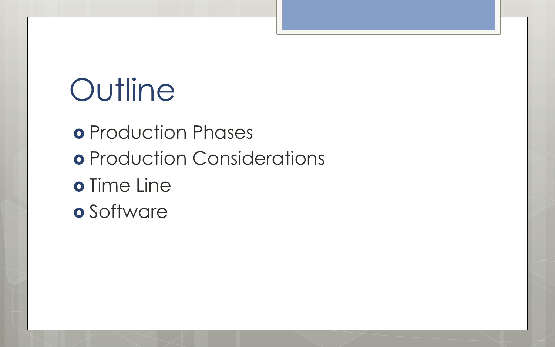#### **Outline**

o Production Phases o Production Considerations o Time Line o Software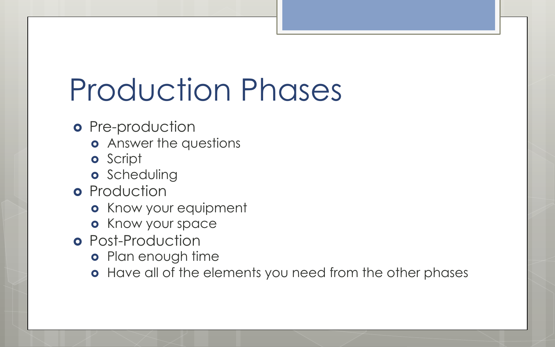## Production Phases

- o Pre-production
	- **o** Answer the questions
	- **o** Script
	- **o** Scheduling
- **o** Production
	- **o** Know your equipment
	- **o** Know your space
- **o** Post-Production
	- **•** Plan enough time
	- **•** Have all of the elements you need from the other phases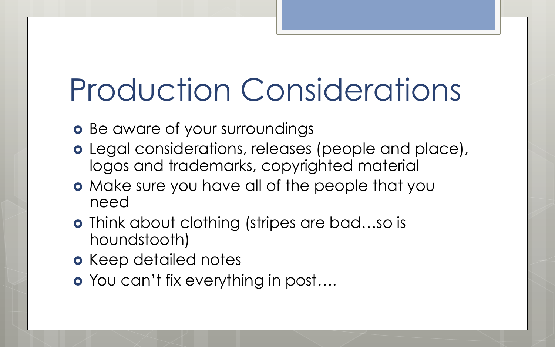### Production Considerations

o Be aware of your surroundings

- o Legal considerations, releases (people and place), logos and trademarks, copyrighted material
- **o** Make sure you have all of the people that you need
- **o** Think about clothing (stripes are bad...so is houndstooth)
- **o** Keep detailed notes
- **o** You can't fix everything in post....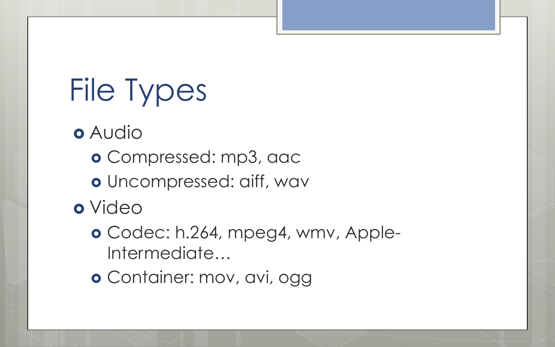# File Types

- o Audio
	- o Compressed: mp3, aac
	- o Uncompressed: aiff, wav
- o Video
	- o Codec: h.264, mpeg4, wmv, Apple-Intermediate…
	- o Container: mov, avi, ogg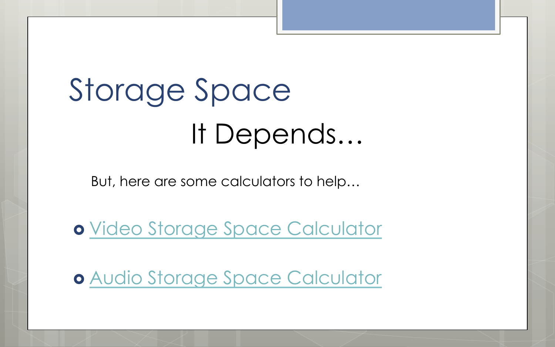# Storage Space It Depends…

But, here are some calculators to help…

**o** Video Storage Space Calculator

**o Audio Storage Space Calculator**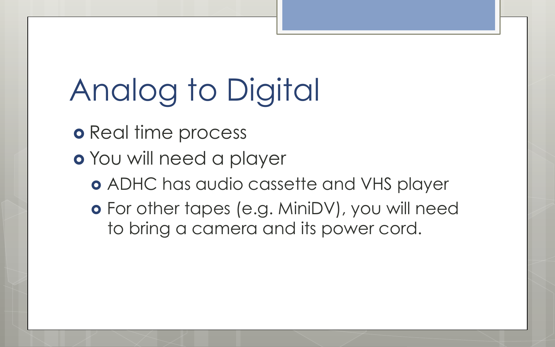# Analog to Digital

- **o** Real time process
- o You will need a player
	- ! ADHC has audio cassette and VHS player
	- o For other tapes (e.g. MiniDV), you will need to bring a camera and its power cord.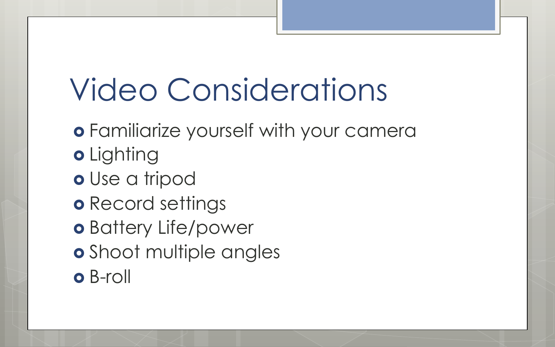### Video Considerations

- **o** Familiarize yourself with your camera
- o Lighting
- o Use a tripod
- **o** Record settings
- o Battery Life/power
- **o** Shoot multiple angles
- o B-roll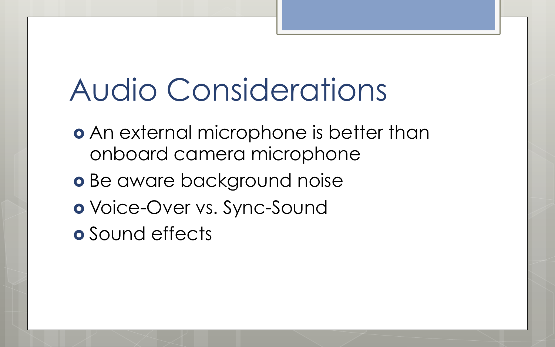#### Audio Considerations

- **An external microphone is better than** onboard camera microphone
- o Be aware background noise
- o Voice-Over vs. Sync-Sound
- **o** Sound effects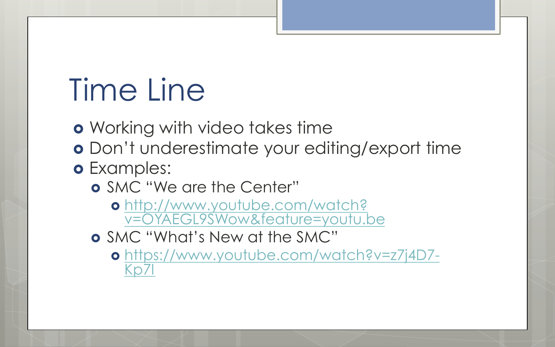#### Time Line

**o** Working with video takes time

o Don't underestimate your editing/export time

#### o Examples:

- o SMC "We are the Center"
	- **o** http://www.youtube.com/watch? v=OYAEGL9SWow&feature=youtu.be
- ! SMC "What's New at the SMC"
	- o https://www.youtube.com/watch?v=z7j4D7-Kn7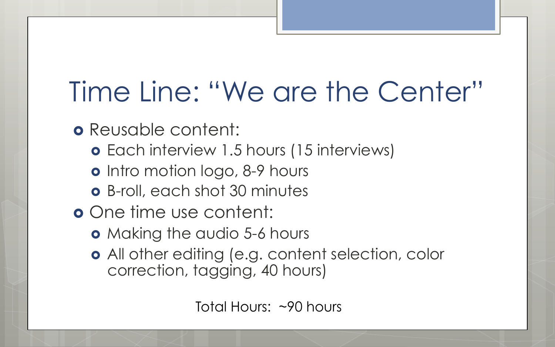#### Time Line: "We are the Center"

o Reusable content:

- **o** Each interview 1.5 hours (15 interviews)
- **o** Intro motion logo, 8-9 hours
- **o** B-roll, each shot 30 minutes
- **o** One time use content:
	- **o** Making the audio 5-6 hours
	- o All other editing (e.g. content selection, color correction, tagging, 40 hours)

Total Hours: ~90 hours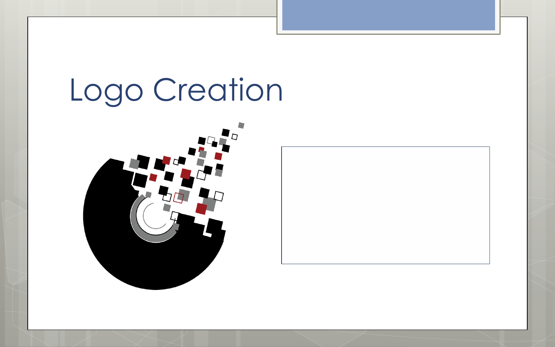#### Logo Creation



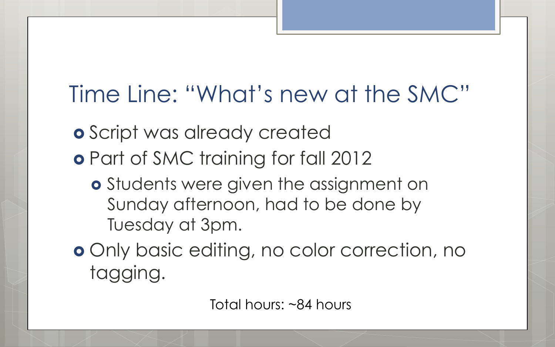#### Time Line: "What's new at the SMC"

- **o** Script was already created
- **•** Part of SMC training for fall 2012
	- **o** Students were given the assignment on Sunday afternoon, had to be done by Tuesday at 3pm.
- **o** Only basic editing, no color correction, no tagging.

Total hours: ~84 hours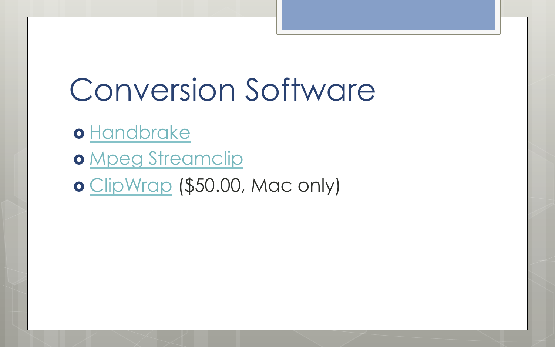#### Conversion Software

o Handbrake

o Mpeg Streamclip

o ClipWrap (\$50.00, Mac only)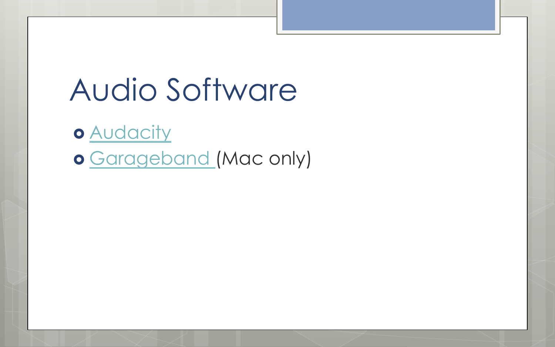#### Audio Software

o **Audacity** o Garageband (Mac only)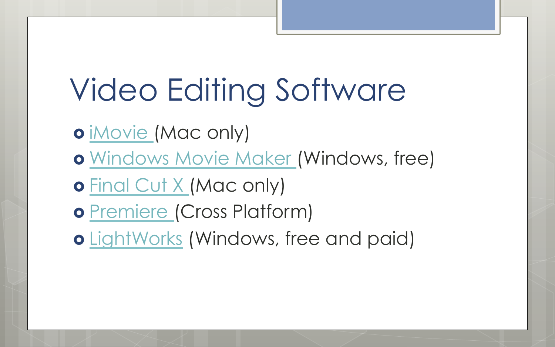## Video Editing Software

o iMovie (Mac only)

**o** Windows Movie Maker (Windows, free)

**o** Final Cut X (Mac only)

o Premiere (Cross Platform)

! LightWorks (Windows, free and paid)